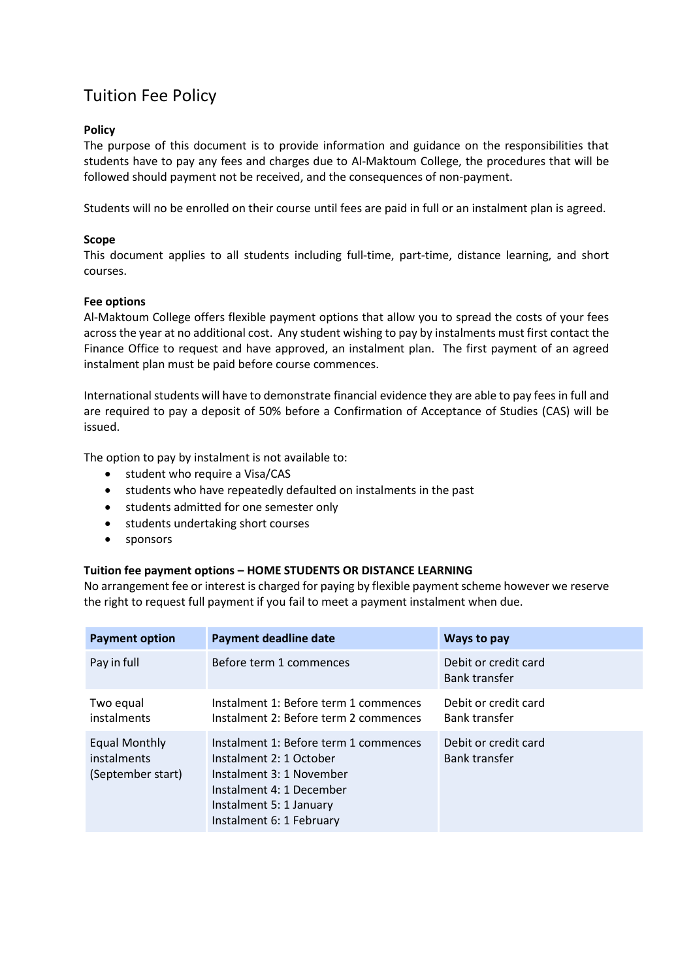# Tuition Fee Policy

## **Policy**

The purpose of this document is to provide information and guidance on the responsibilities that students have to pay any fees and charges due to Al-Maktoum College, the procedures that will be followed should payment not be received, and the consequences of non-payment.

Students will no be enrolled on their course until fees are paid in full or an instalment plan is agreed.

#### **Scope**

This document applies to all students including full-time, part-time, distance learning, and short courses.

#### **Fee options**

Al-Maktoum College offers flexible payment options that allow you to spread the costs of your fees across the year at no additional cost. Any student wishing to pay by instalments must first contact the Finance Office to request and have approved, an instalment plan. The first payment of an agreed instalment plan must be paid before course commences.

International students will have to demonstrate financial evidence they are able to pay fees in full and are required to pay a deposit of 50% before a Confirmation of Acceptance of Studies (CAS) will be issued.

The option to pay by instalment is not available to:

- student who require a Visa/CAS
- students who have repeatedly defaulted on instalments in the past
- students admitted for one semester only
- students undertaking short courses
- sponsors

#### **Tuition fee payment options – HOME STUDENTS OR DISTANCE LEARNING**

No arrangement fee or interest is charged for paying by flexible payment scheme however we reserve the right to request full payment if you fail to meet a payment instalment when due.

| <b>Payment option</b>                             | <b>Payment deadline date</b>                                                                                                                                                    | Ways to pay                                  |
|---------------------------------------------------|---------------------------------------------------------------------------------------------------------------------------------------------------------------------------------|----------------------------------------------|
| Pay in full                                       | Before term 1 commences                                                                                                                                                         | Debit or credit card<br>Bank transfer        |
| Two equal<br>instalments                          | Instalment 1: Before term 1 commences<br>Instalment 2: Before term 2 commences                                                                                                  | Debit or credit card<br><b>Bank transfer</b> |
| Equal Monthly<br>instalments<br>(September start) | Instalment 1: Before term 1 commences<br>Instalment 2: 1 October<br>Instalment 3: 1 November<br>Instalment 4: 1 December<br>Instalment 5: 1 January<br>Instalment 6: 1 February | Debit or credit card<br><b>Bank transfer</b> |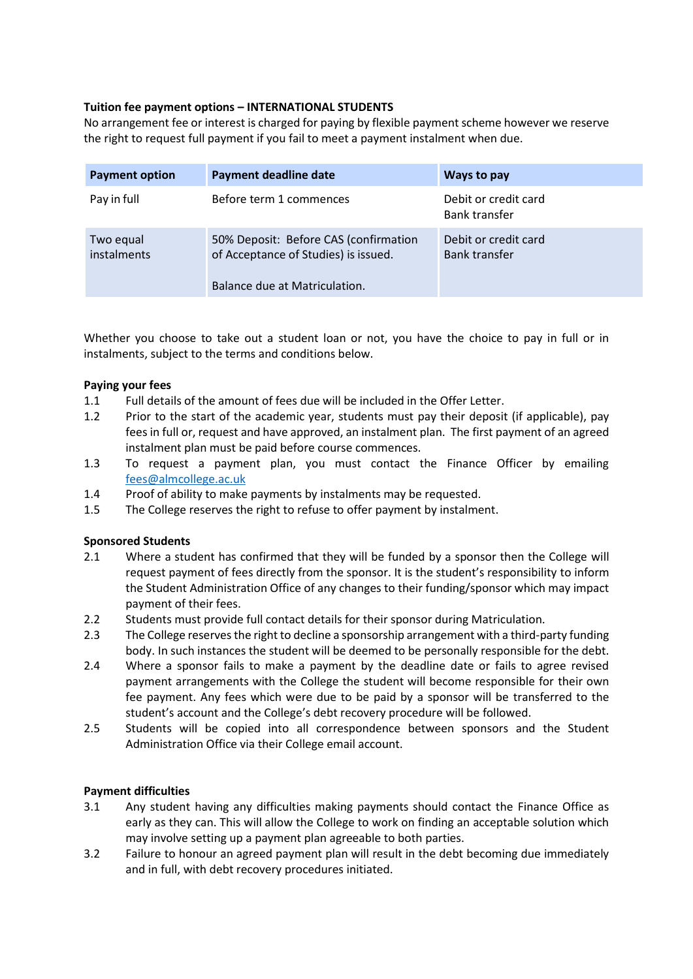# **Tuition fee payment options – INTERNATIONAL STUDENTS**

No arrangement fee or interest is charged for paying by flexible payment scheme however we reserve the right to request full payment if you fail to meet a payment instalment when due.

| <b>Payment option</b>           | <b>Payment deadline date</b>                                                                                   | Ways to pay                                  |
|---------------------------------|----------------------------------------------------------------------------------------------------------------|----------------------------------------------|
| Pay in full                     | Before term 1 commences                                                                                        | Debit or credit card<br><b>Bank transfer</b> |
| Two equal<br><i>instalments</i> | 50% Deposit: Before CAS (confirmation<br>of Acceptance of Studies) is issued.<br>Balance due at Matriculation. | Debit or credit card<br><b>Bank transfer</b> |

Whether you choose to take out a student loan or not, you have the choice to pay in full or in instalments, subject to the terms and conditions below.

## **Paying your fees**

- 1.1 Full details of the amount of fees due will be included in the Offer Letter.
- 1.2 Prior to the start of the academic year, students must pay their deposit (if applicable), pay fees in full or, request and have approved, an instalment plan. The first payment of an agreed instalment plan must be paid before course commences.
- 1.3 To request a payment plan, you must contact the Finance Officer by emailing [fees@almcollege.ac.uk](mailto:fees@almcollege.ac.uk)
- 1.4 Proof of ability to make payments by instalments may be requested.
- 1.5 The College reserves the right to refuse to offer payment by instalment.

#### **Sponsored Students**

- 2.1 Where a student has confirmed that they will be funded by a sponsor then the College will request payment of fees directly from the sponsor. It is the student's responsibility to inform the Student Administration Office of any changes to their funding/sponsor which may impact payment of their fees.
- 2.2 Students must provide full contact details for their sponsor during Matriculation.
- 2.3 The College reserves the right to decline a sponsorship arrangement with a third-party funding body. In such instances the student will be deemed to be personally responsible for the debt.
- 2.4 Where a sponsor fails to make a payment by the deadline date or fails to agree revised payment arrangements with the College the student will become responsible for their own fee payment. Any fees which were due to be paid by a sponsor will be transferred to the student's account and the College's debt recovery procedure will be followed.
- 2.5 Students will be copied into all correspondence between sponsors and the Student Administration Office via their College email account.

#### **Payment difficulties**

- 3.1 Any student having any difficulties making payments should contact the Finance Office as early as they can. This will allow the College to work on finding an acceptable solution which may involve setting up a payment plan agreeable to both parties.
- 3.2 Failure to honour an agreed payment plan will result in the debt becoming due immediately and in full, with debt recovery procedures initiated.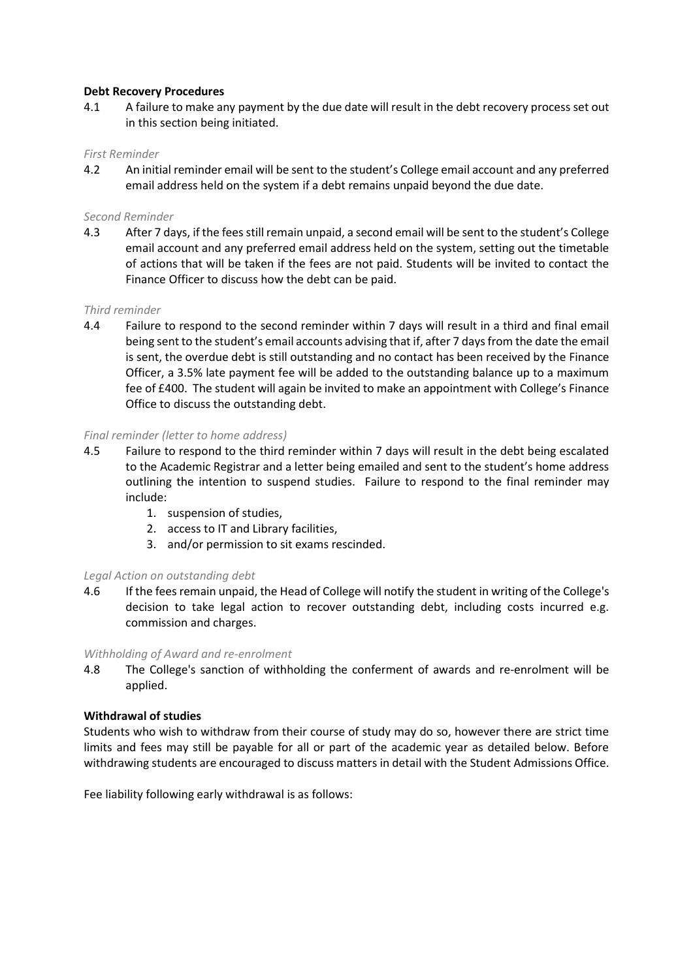#### **Debt Recovery Procedures**

4.1 A failure to make any payment by the due date will result in the debt recovery process set out in this section being initiated.

## *First Reminder*

4.2 An initial reminder email will be sent to the student's College email account and any preferred email address held on the system if a debt remains unpaid beyond the due date.

## *Second Reminder*

4.3 After 7 days, if the fees still remain unpaid, a second email will be sent to the student's College email account and any preferred email address held on the system, setting out the timetable of actions that will be taken if the fees are not paid. Students will be invited to contact the Finance Officer to discuss how the debt can be paid.

#### *Third reminder*

4.4 Failure to respond to the second reminder within 7 days will result in a third and final email being sent to the student's email accounts advising that if, after 7 days from the date the email is sent, the overdue debt is still outstanding and no contact has been received by the Finance Officer, a 3.5% late payment fee will be added to the outstanding balance up to a maximum fee of £400. The student will again be invited to make an appointment with College's Finance Office to discuss the outstanding debt.

#### *Final reminder (letter to home address)*

- 4.5 Failure to respond to the third reminder within 7 days will result in the debt being escalated to the Academic Registrar and a letter being emailed and sent to the student's home address outlining the intention to suspend studies. Failure to respond to the final reminder may include:
	- 1. suspension of studies,
	- 2. access to IT and Library facilities,
	- 3. and/or permission to sit exams rescinded.

#### *Legal Action on outstanding debt*

4.6 If the fees remain unpaid, the Head of College will notify the student in writing of the College's decision to take legal action to recover outstanding debt, including costs incurred e.g. commission and charges.

#### *Withholding of Award and re-enrolment*

4.8 The College's sanction of withholding the conferment of awards and re-enrolment will be applied.

#### **Withdrawal of studies**

Students who wish to withdraw from their course of study may do so, however there are strict time limits and fees may still be payable for all or part of the academic year as detailed below. Before withdrawing students are encouraged to discuss matters in detail with the Student Admissions Office.

Fee liability following early withdrawal is as follows: